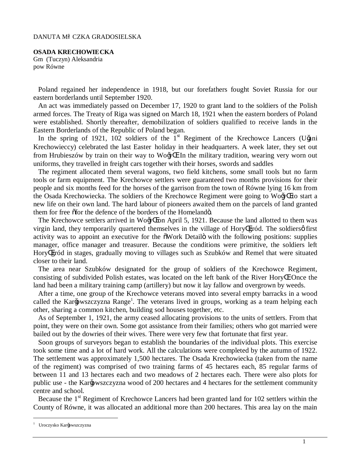#### DANUTA M CZKA GRADOSIELSKA

**OSADA KRECHOWIECKA**  Gm (Tuczyn) Aleksandria pow Równe

Poland regained her independence in 1918, but our forefathers fought Soviet Russia for our eastern borderlands until September 1920.

An act was immediately passed on December 17, 1920 to grant land to the soldiers of the Polish armed forces. The Treaty of Riga was signed on March 18, 1921 when the eastern borders of Poland were established. Shortly thereafter, demobilization of soldiers qualified to receive lands in the Eastern Borderlands of the Republic of Poland began.

In the spring of 1921, 102 soldiers of the 1<sup>st</sup> Regiment of the Krechowce Lancers (Utini Krechowieccy) celebrated the last Easter holiday in their headquarters. A week later, they set out from Hrubieszów by train on their way to Wo $\oplus$ . In the military tradition, wearing very worn out uniforms, they travelled in freight cars together with their horses, swords and saddles

The regiment allocated them several wagons, two field kitchens, some small tools but no farm tools or farm equipment. The Krechowce settlers were guaranteed two months provisions for their people and six months feed for the horses of the garrison from the town of Równe lying 16 km from the Osada Krechowiecka. The soldiers of the Krechowce Regiment were going to Wo $\oplus$  to start a new life on their own land. The hard labour of pioneers awaited them on the parcels of land granted them for free  $\delta$  for the defence of the borders of the Homeland $\delta$ .

The Krechowce settlers arrived in Wo $\oplus$  on April 5, 1921. Because the land allotted to them was virgin land, they temporarily quartered themselves in the village of Hory gród. The soldiers of first activity was to appoint an executive for the  $\delta$ Work Detailö with the following positions: supplies manager, office manager and treasurer. Because the conditions were primitive, the soldiers left Hory gród in stages, gradually moving to villages such as Szubków and Remel that were situated closer to their land.

The area near Szubków designated for the group of soldiers of the Krechowce Regiment, consisting of subdivided Polish estates, was located on the left bank of the River Hory . Once the land had been a military training camp (artillery) but now it lay fallow and overgrown by weeds.

After a time, one group of the Krechowce veterans moved into several empty barracks in a wood called the Kar $\epsilon$ wszczyzna Range<sup>1</sup>. The veterans lived in groups, working as a team helping each other, sharing a common kitchen, building sod houses together, etc.

As of September 1, 1921, the army ceased allocating provisions to the units of settlers. From that point, they were on their own. Some got assistance from their families; others who got married were bailed out by the dowries of their wives. There were very few that fortunate that first year.

Soon groups of surveyors began to establish the boundaries of the individual plots. This exercise took some time and a lot of hard work. All the calculations were completed by the autumn of 1922. The settlement was approximately 1,500 hectares. The Osada Krechowiecka (taken from the name of the regiment) was comprised of two training farms of 45 hectares each, 85 regular farms of between 11 and 13 hectares each and two meadows of 2 hectares each. There were also plots for public use - the Kar $\epsilon$ wszczyzna wood of 200 hectares and 4 hectares for the settlement community centre and school.

Because the  $1<sup>st</sup>$  Regiment of Krechowce Lancers had been granted land for 102 settlers within the County of Równe, it was allocated an additional more than 200 hectares. This area lay on the main

<sup>&</sup>lt;sup>1</sup> Uroczysko Kar€wszczyzna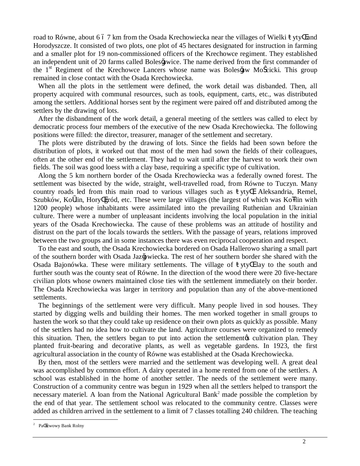road to Równe, about 6 6 7 km from the Osada Krechowiecka near the villages of Wielki yty and Horodyszcze. It consisted of two plots, one plot of 45 hectares designated for instruction in farming and a smaller plot for 19 non-commissioned officers of the Krechowce regiment. They established an independent unit of 20 farms called Boles  $\epsilon$  wice. The name derived from the first commander of the 1<sup>st</sup> Regiment of the Krechowce Lancers whose name was Boles  $\mathbf{\hat{a}}$ w Mo cicki. This group remained in close contact with the Osada Krechowiecka.

When all the plots in the settlement were defined, the work detail was disbanded. Then, all property acquired with communal resources, such as tools, equipment, carts, etc., was distributed among the settlers. Additional horses sent by the regiment were paired off and distributed among the settlers by the drawing of lots.

After the disbandment of the work detail, a general meeting of the settlers was called to elect by democratic process four members of the executive of the new Osada Krechowiecka. The following positions were filled: the director, treasurer, manager of the settlement and secretary.

The plots were distributed by the drawing of lots. Since the fields had been sown before the distribution of plots, it worked out that most of the men had sown the fields of their colleagues, often at the other end of the settlement. They had to wait until after the harvest to work their own fields. The soil was good loess with a clay base, requiring a specific type of cultivation.

Along the 5 km northern border of the Osada Krechowiecka was a federally owned forest. The settlement was bisected by the wide, straight, well-travelled road, from Równe to Tuczyn. Many country roads led from this main road to various villages such as yty , Aleksandria, Remel, Szubków, Ko lin, Hory gród, etc. These were large villages (the largest of which was Ko lin with 1200 people) whose inhabitants were assimilated into the prevailing Ruthenian and Ukrainian culture. There were a number of unpleasant incidents involving the local population in the initial years of the Osada Krechowiecka. The cause of these problems was an attitude of hostility and distrust on the part of the locals towards the settlers. With the passage of years, relations improved between the two groups and in some instances there was even reciprocal cooperation and respect.

To the east and south, the Osada Krechowiecka bordered on Osada Hallerowo sharing a small part of the southern border with Osada Jaz $\bigcirc$ wiecka. The rest of her southern border she shared with the Osada Bajonówka. These were military settlements. The village of yty lay to the south and further south was the county seat of Równe. In the direction of the wood there were 20 five-hectare civilian plots whose owners maintained close ties with the settlement immediately on their border. The Osada Krechowiecka was larger in territory and population than any of the above-mentioned settlements.

The beginnings of the settlement were very difficult. Many people lived in sod houses. They started by digging wells and building their homes. The men worked together in small groups to hasten the work so that they could take up residence on their own plots as quickly as possible. Many of the settlers had no idea how to cultivate the land. Agriculture courses were organized to remedy this situation. Then, the settlers began to put into action the settlement os cultivation plan. They planted fruit-bearing and decorative plants, as well as vegetable gardens. In 1923, the first agricultural association in the county of Równe was established at the Osada Krechowiecka.

By then, most of the settlers were married and the settlement was developing well. A great deal was accomplished by common effort. A dairy operated in a home rented from one of the settlers. A school was established in the home of another settler. The needs of the settlement were many. Construction of a community centre was begun in 1929 when all the settlers helped to transport the necessary materiel. A loan from the National Agricultural Bank<sup>2</sup> made possible the completion by the end of that year. The settlement school was relocated to the community centre. Classes were added as children arrived in the settlement to a limit of 7 classes totalling 240 children. The teaching

 <sup>2</sup> Pa stwowy Bank Rolny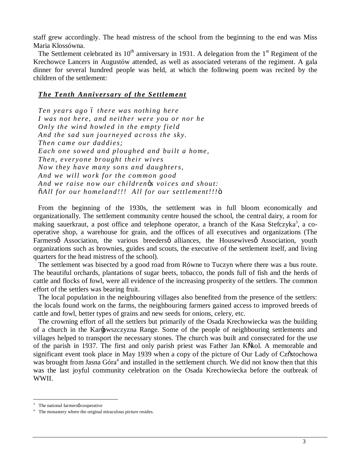staff grew accordingly. The head mistress of the school from the beginning to the end was Miss Maria Klossówna.

The Settlement celebrated its  $10<sup>th</sup>$  anniversary in 1931. A delegation from the  $1<sup>st</sup>$  Regiment of the Krechowce Lancers in Augustów attended, as well as associated veterans of the regiment. A gala dinner for several hundred people was held, at which the following poem was recited by the children of the settlement:

# *The Tenth Anniversary of the Settlement*

*Ten years ago – there was nothing here I was not here, and neither were you or nor he Only the wind howled in the empty field And the sad sun journeyed across the sky. Then came our daddies; Each one so wed and ploughed and built a home, Then, everyone brought their wives No w they have many sons and daughters, And we will work for the common good And we raise no w our children's voices and shout: "All for our homeland!!! A ll for our settlement!!!"*

From the beginning of the 1930s, the settlement was in full bloom economically and organizationally. The settlement community centre housed the school, the central dairy, a room for making sauerkraut, a post office and telephone operator, a branch of the Kasa Stefczyka<sup>3</sup>, a cooperative shop, a warehouse for grain, and the offices of all executives and organizations (The Farmersø Association, the various breedersø alliances, the Housewives association, youth organizations such as brownies, guides and scouts, the executive of the settlement itself, and living quarters for the head mistress of the school).

The settlement was bisected by a good road from Równe to Tuczyn where there was a bus route. The beautiful orchards, plantations of sugar beets, tobacco, the ponds full of fish and the herds of cattle and flocks of fowl, were all evidence of the increasing prosperity of the settlers. The common effort of the settlers was bearing fruit.

The local population in the neighbouring villages also benefited from the presence of the settlers: the locals found work on the farms, the neighbouring farmers gained access to improved breeds of cattle and fowl, better types of grains and new seeds for onions, celery, etc.

The crowning effort of all the settlers but primarily of the Osada Krechowiecka was the building of a church in the Kar $\epsilon$ wszczyzna Range. Some of the people of neighbouring settlements and villages helped to transport the necessary stones. The church was built and consecrated for the use of the parish in 1937. The first and only parish priest was Father Jan K kol. A memorable and significant event took place in May 1939 when a copy of the picture of Our Lady of Cz stochowa was brought from Jasna Góra<sup>4</sup> and installed in the settlement church. We did not know then that this was the last joyful community celebration on the Osada Krechowiecka before the outbreak of WWII.

 $3$  The national farmers  $\phi$  cooperative

 $4$  The monastery where the original miraculous picture resides.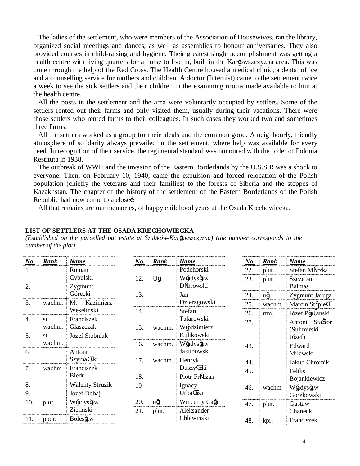The ladies of the settlement, who were members of the Association of Housewives, ran the library, organized social meetings and dances, as well as assemblies to honour anniversaries. They also provided courses in child-raising and hygiene. Their greatest single accomplishment was getting a health centre with living quarters for a nurse to live in, built in the Kar $\Theta$ wszczyzna area. This was done through the help of the Red Cross. The Health Centre housed a medical clinic, a dental office and a counselling service for mothers and children. A doctor (Internist) came to the settlement twice a week to see the sick settlers and their children in the examining rooms made available to him at the health centre.

All the posts in the settlement and the area were voluntarily occupied by settlers. Some of the settlers rented out their farms and only visited them, usually during their vacations. There were those settlers who rented farms to their colleagues. In such cases they worked two and sometimes three farms.

All the settlers worked as a group for their ideals and the common good. A neighbourly, friendly atmosphere of solidarity always prevailed in the settlement, where help was available for every need. In recognition of their service, the regimental standard was honoured with the order of Polonia Restituta in 1938.

The outbreak of WWII and the invasion of the Eastern Borderlands by the U.S.S.R was a shock to everyone. Then, on February 10, 1940, came the expulsion and forced relocation of the Polish population (chiefly the veterans and their families) to the forests of Siberia and the steppes of Kazakhstan. The chapter of the history of the settlement of the Eastern Borderlands of the Polish Republic had now come to a close

All that remains are our memories, of happy childhood years at the Osada Krechowiecka.

### **LIST OF SETTLERS AT THE OSADA KRECHOWIECKA**

*(Established on the parcelled out estate at Szubków-Karłowszczyzna) (the number corresponds to the number of the plot)*

| $\underline{No.}$ | <b>Rank</b> | <b>Name</b>            | $\underline{\mathbf{N}\mathbf{o}}$ . | <b>Rank</b> | <b>Name</b>            | <u>No.</u> | Rank   | <b>Name</b>       |
|-------------------|-------------|------------------------|--------------------------------------|-------------|------------------------|------------|--------|-------------------|
|                   |             | Roman                  |                                      |             | Podchorski             | 22.        | plut.  | Stefan M czka     |
|                   |             | Cybulski               | 12.                                  | U€          | W€dys€w                | 23.        | plut.  | Szczepan          |
| 2.                |             | Zygmunt                |                                      |             | D browski              |            |        | <b>Balmas</b>     |
|                   |             | Górecki                | 13.                                  |             | Jan                    | 24.        | u€     | Zygmunt Jaruga    |
| 3.                | wachm.      | Kazimierz<br>М.        |                                      |             | Dzierzgowski           | 25.        | wachm. | Marcin St pie     |
|                   |             | Weselinski             | 14.                                  |             | Stefan                 | 26.        | rtm.   | Józef P€ anski    |
| 4.                | st.         | Franciszek             |                                      |             | Talarowski             | 27.        |        | Sta ior<br>Antoni |
|                   | wachm.      | Glaszczak              | 15.                                  | wachm.      | W€dzimierz             |            |        | (Sulimirski       |
| 5.                | st.         | Józef Stobniak         |                                      |             | Kulikowski             |            |        | Józef)            |
|                   | wachm.      |                        | 16.                                  | wachm.      | W€dys€w                | 43.        |        | Edward            |
| 6.                |             | Antoni                 |                                      |             | Jakubowski             |            |        | Milewski          |
|                   |             | Szyma ski              | 17.                                  | wachm.      | Henryk                 | 44.        |        | Jakub Chromik     |
| 7.                | wachm.      | Franciszek             |                                      |             | Duszy ski              | 45.        |        | Feliks            |
|                   |             | Biedul                 | 18.                                  |             | Piotr Fr czak          |            |        | Bojankiewicz      |
| 8.                |             | <b>Walenty Struzik</b> | 19                                   |             | Ignacy                 | 46.        | wachm. | W€dys€w           |
| 9.                |             | Józef Dobaj            |                                      |             | Urba ski               |            |        | Gorzkowski        |
| 10.               | plut.       | Wadys aw               | 20.                                  | u€          | Wincenty Ca $\epsilon$ | 47.        | plut.  | Gustaw            |
|                   |             | Zielinski              | 21.                                  | plut.       | Aleksander             |            |        | Chanecki          |
| 11.               | ppor.       | Boles €w               |                                      |             | Chlewinski             | 48.        | kpr.   | Franciszek        |
|                   |             |                        |                                      |             |                        |            |        |                   |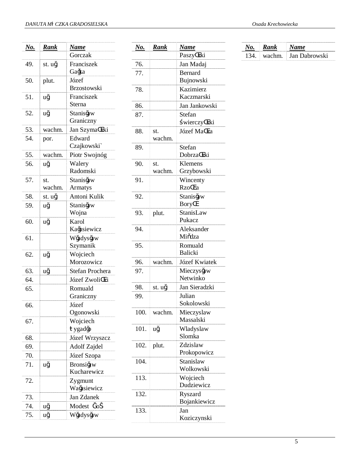| <u>No.</u> | <u>Rank</u> | <u>Name</u>                 |
|------------|-------------|-----------------------------|
|            |             | Gorczak                     |
| 49.        | st. u€      | Franciszek<br>Ga€a          |
| 50.        | plut.       | Józef<br><b>Brzostowski</b> |
| 51.        | u€          | Franciszek<br>Sterna        |
| 52.        | u€          | Stanis Ew<br>Graniczny      |
| 53.        | wachm.      | Jan Szyma ski               |
| 54.        | por.        | Edward<br>Czajkowski`       |
| 55.        | wachm.      | Piotr Swojnóg               |
| 56.        | u€          | Walery                      |
|            |             | Radomski                    |
| 57.        | st.         | Stanis aw                   |
|            | wachm.      | Armatys                     |
| 58.        | st. u€      | Antoni Kulik                |
| 59.        | u€          | Stanis Gw                   |
|            |             | Wojna                       |
| 60.        | u€          | Karol                       |
|            |             | Ka€siewicz                  |
| 61.        |             | W€dys€w                     |
|            |             | Szymanik                    |
| 62.        | u€          | Wojciech                    |
|            |             | Morozowicz                  |
| 63.        | u€          | Stefan Prochera             |
| 64.        |             | Józef Zwoli ki              |
| 65.        |             | Romuald                     |
|            |             | Graniczny                   |
| 66.        |             | Józef                       |
|            |             | Ogonowski                   |
| 67.        |             | Wojciech                    |
|            |             | ygad€                       |
| 68.        |             | Józef Wrzyszcz              |
| 69.        |             | Adolf Zajdel                |
| 70.        |             | Józef Szopa                 |
| 71.        | u€          | Bronsi faw<br>Kucharewicz   |
| 72.        |             | Zygmunt<br>WaGsiewicz       |
| 73.        |             | Jan Zdanek                  |
| 74.        | u€          | Modest / o                  |
| 75.        | u€          | W€dys€w                     |

| No.          | Rank          | Name                    |
|--------------|---------------|-------------------------|
|              |               | Paszy ski               |
| 76.          |               | Jan Madaj               |
| 77.          |               | <b>Bernard</b>          |
|              |               | Bujnowski               |
| 78.          |               | Kazimierz<br>Kaczmarski |
| 86.          |               | Jan Jankowski           |
| 87.          |               | Stefan                  |
|              |               | wierczy ski             |
| 88.          | st.<br>wachm. | Józef Ma ka             |
| 89.          |               | Stefan                  |
|              |               | Dobrza ski              |
| 90.          | st.           | Klemens                 |
|              | wachm.        | Grzybowski              |
| 91.          |               | Wincenty                |
|              |               | Rzo ca                  |
| 92.          |               | Stanis <del>C</del> w   |
|              |               | Bory                    |
| 93.          | plut.         | StanisLaw               |
|              |               | Pukacz                  |
| 94.          |               | Aleksander<br>Mi dza    |
| 95.          |               | Romuald                 |
|              |               | <b>Balicki</b>          |
| 96.          | wachm.        | Józef Kwiatek           |
| 97.          |               | $Mieczys$ aw            |
|              |               | Netwinko                |
| 98.          | st. u€        | Jan Sieradzki           |
| 99.          |               | Julian<br>Sokolowski    |
| 100.         |               |                         |
|              | wachm.        | Mieczyslaw<br>Massalski |
| 101. $u \in$ |               | Wladyslaw               |
|              |               | Slomka                  |
| 102.         | plut.         | Zdzislaw                |
|              |               | Prokopowicz             |
| 104.         |               | Stanislaw               |
|              |               | Wolkowski               |
| 113.         |               | Wojciech                |
|              |               | Dudziewicz              |
| 132.         |               | Ryszard                 |
|              |               | Bojankiewicz            |
| 133.         |               | Jan<br>Koziczynski      |
|              |               |                         |

|  | Osada Krechowiecka |  |
|--|--------------------|--|
|  |                    |  |

| $\sim$ |         |                      |  |  |
|--------|---------|----------------------|--|--|
|        | m.<br>м | <b>Lan Dabrowski</b> |  |  |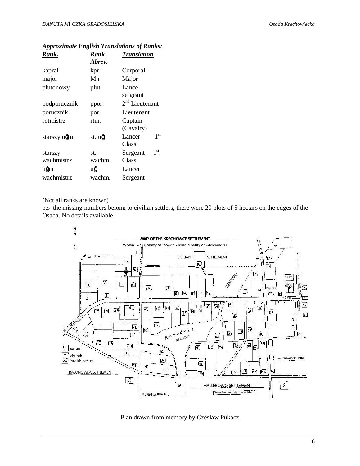| Rank.        | Rank   | <b>Translation</b>         |
|--------------|--------|----------------------------|
|              | Abrev. |                            |
| kapral       | kpr.   | Corporal                   |
| major        | Mjr    | Major                      |
| plutonowy    | plut.  | Lance-                     |
|              |        | sergeant                   |
| podporucznik | ppor.  | $2nd$ Lieutenant           |
| porucznik    | por.   | Lieutenant                 |
| rotmistrz    | rtm.   | Captain                    |
|              |        | (Cavalry)                  |
| starszy u€n  | st. u€ | 1 <sup>st</sup><br>Lancer  |
|              |        | Class                      |
| starszy      | st.    | $1^{\rm st}$ .<br>Sergeant |
| wachmistrz   | wachm. | Class                      |
| ufan         | u€     | Lancer                     |
| wachmistrz   | wachm. | Sergeant                   |

# *Approximate English Translations of Ranks:*

#### (Not all ranks are known)

p.s the missing numbers belong to civilian settlers, there were 20 plots of 5 hectars on the edges of the Osada. No details available.